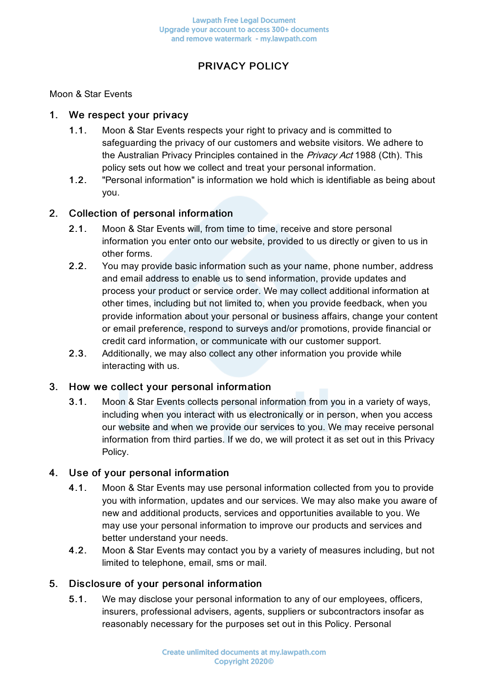# PRIVACY POLICY

### Moon & Star Events

### 1. We respect your privacy

- 1.1. Moon & Star Events respects your right to privacy and is committed to safeguarding the privacy of our customers and website visitors. We adhere to the Australian Privacy Principles contained in the Privacy Act 1988 (Cth). This policy sets out how we collect and treat your personal information.
- 1.2. "Personal information" is information we hold which is identifiable as being about you.

## 2. Collection of personal information

- 2.1. Moon & Star Events will, from time to time, receive and store personal information you enter onto our website, provided to us directly or given to us in other forms.
- 2.2. You may provide basic information such as your name, phone number, address and email address to enable us to send information, provide updates and process your product or service order. We may collect additional information at other times, including but not limited to, when you provide feedback, when you provide information about your personal or business affairs, change your content or email preference, respond to surveys and/or promotions, provide financial or credit card information, or communicate with our customer support.
- 2.3. Additionally, we may also collect any other information you provide while interacting with us.

### 3. How we collect your personal information

3.1. Moon & Star Events collects personal information from you in a variety of ways, including when you interact with us electronically or in person, when you access our website and when we provide our services to you. We may receive personal information from third parties. If we do, we will protect it as set out in this Privacy Policy.

### 4. Use of your personal information

- 4.1. Moon & Star Events may use personal information collected from you to provide you with information, updates and our services. We may also make you aware of new and additional products, services and opportunities available to you. We may use your personal information to improve our products and services and better understand your needs.
- 4.2. Moon & Star Events may contact you by a variety of measures including, but not limited to telephone, email, sms or mail.

### 5. Disclosure of your personal information

5.1. We may disclose your personal information to any of our employees, officers, insurers, professional advisers, agents, suppliers or subcontractors insofar as reasonably necessary for the purposes set out in this Policy. Personal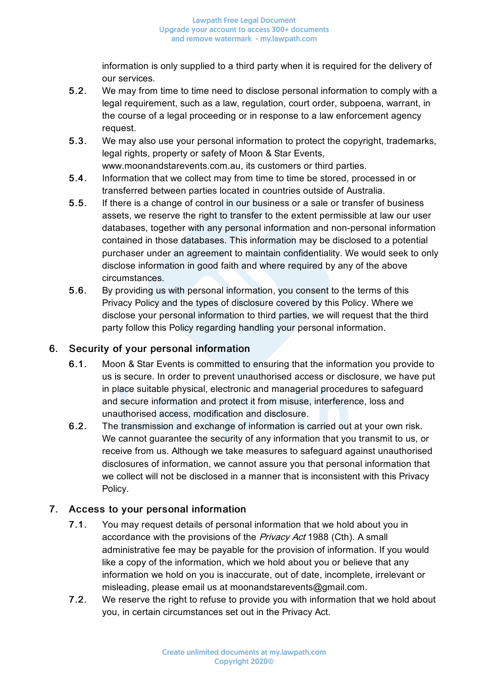information is only supplied to a third party when it is required for the delivery of our services.

- 5.2. We may from time to time need to disclose personal information to comply with a legal requirement, such as a law, regulation, court order, subpoena, warrant, in the course of a legal proceeding or in response to a law enforcement agency request.
- 5.3. We may also use your personal information to protect the copyright, trademarks, legal rights, property or safety of Moon & Star Events, www.moonandstarevents.com.au, its customers or third parties.
- 5.4. Information that we collect may from time to time be stored, processed in or transferred between parties located in countries outside of Australia.
- 5.5. If there is a change of control in our business or a sale or transfer of business assets, we reserve the right to transfer to the extent permissible at law our user databases, together with any personal information and non-personal information contained in those databases. This information may be disclosed to a potential purchaser under an agreement to maintain confidentiality. We would seek to only disclose information in good faith and where required by any of the above circumstances.
- 5.6. By providing us with personal information, you consent to the terms of this Privacy Policy and the types of disclosure covered by this Policy. Where we disclose your personal information to third parties, we will request that the third party follow this Policy regarding handling your personal information.

## 6. Security of your personal information

- 6.1. Moon & Star Events is committed to ensuring that the information you provide to us is secure. In order to prevent unauthorised access or disclosure, we have put in place suitable physical, electronic and managerial procedures to safeguard and secure information and protect it from misuse, interference, loss and unauthorised access, modification and disclosure.
- 6.2. The transmission and exchange of information is carried out at your own risk. We cannot guarantee the security of any information that you transmit to us, or receive from us. Although we take measures to safeguard against unauthorised disclosures of information, we cannot assure you that personal information that we collect will not be disclosed in a manner that is inconsistent with this Privacy Policy.

## 7. Access to your personal information

- 7.1. You may request details of personal information that we hold about you in accordance with the provisions of the Privacy Act 1988 (Cth). A small administrative fee may be payable for the provision of information. If you would like a copy of the information, which we hold about you or believe that any information we hold on you is inaccurate, out of date, incomplete, irrelevant or misleading, please email us at moonandstarevents@gmail.com.
- 7.2. We reserve the right to refuse to provide you with information that we hold about you, in certain circumstances set out in the Privacy Act.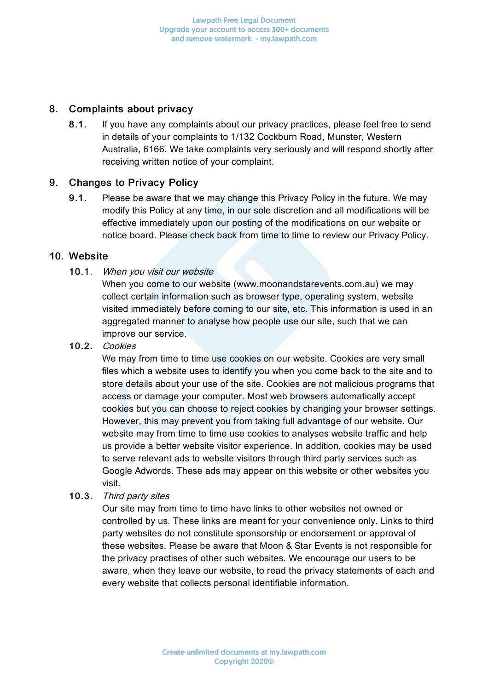### 8. Complaints about privacy

8.1. If you have any complaints about our privacy practices, please feel free to send in details of your complaints to 1/132 Cockburn Road, Munster, Western Australia, 6166. We take complaints very seriously and will respond shortly after receiving written notice of your complaint.

## 9. Changes to Privacy Policy

9.1. Please be aware that we may change this Privacy Policy in the future. We may modify this Policy at any time, in our sole discretion and all modifications will be effective immediately upon our posting of the modifications on our website or notice board. Please check back from time to time to review our Privacy Policy.

### 10. Website

## 10.1. When you visit our website

When you come to our website (www.moonandstarevents.com.au) we may collect certain information such as browser type, operating system, website visited immediately before coming to our site, etc. This information is used in an aggregated manner to analyse how people use our site, such that we can improve our service.

### 10.2. Cookies

We may from time to time use cookies on our website. Cookies are very small files which a website uses to identify you when you come back to the site and to store details about your use of the site. Cookies are not malicious programs that access or damage your computer. Most web browsers automatically accept cookies but you can choose to reject cookies by changing your browser settings. However, this may prevent you from taking full advantage of our website. Our website may from time to time use cookies to analyses website traffic and help us provide a better website visitor experience. In addition, cookies may be used to serve relevant ads to website visitors through third party services such as Google Adwords. These ads may appear on this website or other websites you visit.

10.3. Third party sites

Our site may from time to time have links to other websites not owned or controlled by us. These links are meant for your convenience only. Links to third party websites do not constitute sponsorship or endorsement or approval of these websites. Please be aware that Moon & Star Events is not responsible for the privacy practises of other such websites. We encourage our users to be aware, when they leave our website, to read the privacy statements of each and every website that collects personal identifiable information.